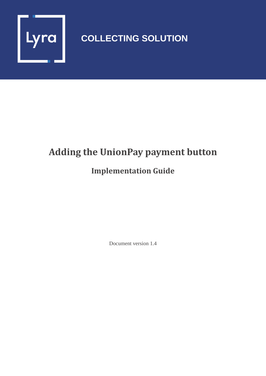

# **COLLECTING SOLUTION**

# **Adding the UnionPay payment button**

## **Implementation Guide**

Document version 1.4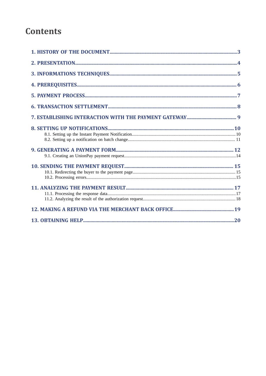## **Contents**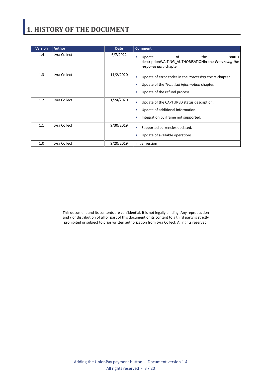# <span id="page-2-0"></span>**1. HISTORY OF THE DOCUMENT**

| <b>Version</b> | <b>Author</b> | <b>Date</b> | <b>Comment</b>                                                                                                                                                         |
|----------------|---------------|-------------|------------------------------------------------------------------------------------------------------------------------------------------------------------------------|
| 1.4            | Lyra Collect  | 6/7/2022    | Update<br>of<br>the<br>status<br>$\bullet$<br>description WAITING AUTHORISATION in the <i>Processing the</i><br>response data chapter.                                 |
| 1.3            | Lyra Collect  | 11/2/2020   | Update of error codes in the <i>Processing errors</i> chapter.<br>٠<br>Update of the Technical information chapter.<br>٠<br>Update of the refund process.<br>$\bullet$ |
| 1.2            | Lyra Collect  | 1/24/2020   | Update of the CAPTURED status description.<br>٠<br>Update of additional information.<br>٠<br>Integration by iframe not supported.<br>٠                                 |
| 1.1            | Lyra Collect  | 9/30/2019   | Supported currencies updated.<br>$\bullet$<br>Update of available operations.<br>٠                                                                                     |
| 1.0            | Lyra Collect  | 9/20/2019   | Initial version                                                                                                                                                        |

This document and its contents are confidential. It is not legally binding. Any reproduction and / or distribution of all or part of this document or its content to a third party is strictly prohibited or subject to prior written authorization from Lyra Collect. All rights reserved.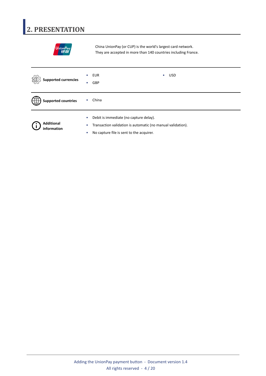# <span id="page-3-0"></span>**2. PRESENTATION**

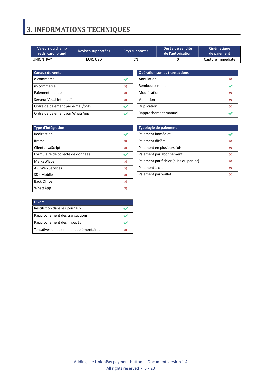# <span id="page-4-0"></span>**3. INFORMATIONS TECHNIQUES**

| Valeurs du champ | Devises supportées |    | Durée de validité | Cinématique       |  |
|------------------|--------------------|----|-------------------|-------------------|--|
| vads card brand  | Pays supportés     |    | de l'autorisation | de paiement       |  |
| UNION PAY        | EUR: USD           | CΝ |                   | Capture immédiate |  |

| <b>Canaux de vente</b>           |  |
|----------------------------------|--|
| e-commerce                       |  |
| m-commerce                       |  |
| Paiement manuel                  |  |
| Serveur Vocal Interactif         |  |
| Ordre de paiement par e-mail/SMS |  |
| Ordre de paiement par WhatsApp   |  |

| Opération sur les transactions |  |  |  |
|--------------------------------|--|--|--|
| Annulation                     |  |  |  |
| Remboursement                  |  |  |  |
| Modification                   |  |  |  |
| Validation                     |  |  |  |
| Duplication                    |  |  |  |
| Rapprochement manuel           |  |  |  |

| <b>Type d'intégration</b>         |   |
|-----------------------------------|---|
| Redirection                       |   |
| <b>Iframe</b>                     | ж |
| <b>Client JavaScript</b>          | ж |
| Formulaire de collecte de données |   |
| MarketPlace                       | × |
| <b>API Web Services</b>           | × |
| <b>SDK Mobile</b>                 | ж |
| <b>Back Office</b>                | ж |
| WhatsApp                          |   |

| <b>Typologie de paiement</b>            |  |  |  |
|-----------------------------------------|--|--|--|
| Paiement immédiat                       |  |  |  |
| Paiement différé                        |  |  |  |
| Paiement en plusieurs fois              |  |  |  |
| Paiement par abonnement                 |  |  |  |
| Paiement par fichier (alias ou par lot) |  |  |  |
| Paiement 1 clic                         |  |  |  |
| Paiement par wallet                     |  |  |  |

| <b>Divers</b>                          |  |
|----------------------------------------|--|
| Restitution dans les journaux          |  |
| Rapprochement des transactions         |  |
| Rapprochement des impayés              |  |
| Tentatives de paiement supplémentaires |  |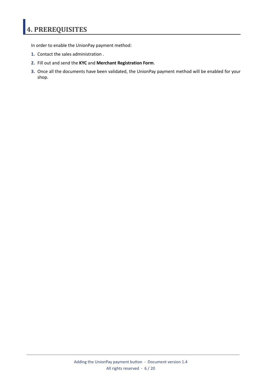# <span id="page-5-0"></span>**4. PREREQUISITES**

In order to enable the UnionPay payment method:

- **1.** Contact the sales administration .
- **2.** Fill out and send the **KYC** and **Merchant Registration Form**.
- **3.** Once all the documents have been validated, the UnionPay payment method will be enabled for your shop.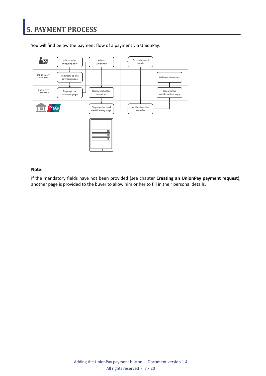

<span id="page-6-0"></span>You will find below the payment flow of a payment via UnionPay:

#### **Note**:

If the mandatory fields have not been provided (see chapter **Creating an UnionPay payment request**), another page is provided to the buyer to allow him or her to fill in their personal details.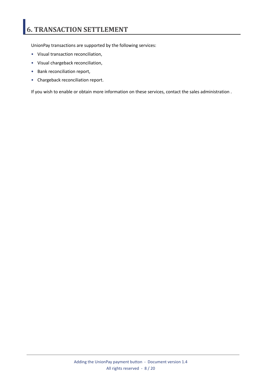# <span id="page-7-0"></span>**6. TRANSACTION SETTLEMENT**

UnionPay transactions are supported by the following services:

- Visual transaction reconciliation,
- Visual chargeback reconciliation,
- Bank reconciliation report,
- Chargeback reconciliation report.

If you wish to enable or obtain more information on these services, contact the sales administration .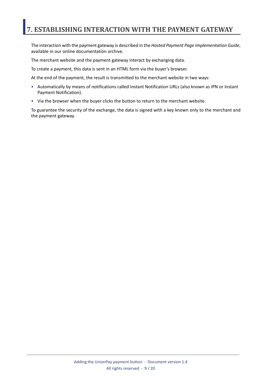## <span id="page-8-0"></span>**7. ESTABLISHING INTERACTION WITH THE PAYMENT GATEWAY**

The interaction with the payment gateway is described in the *Hosted Payment Page Implementation Guide*, available in our online documentation archive.

The merchant website and the payment gateway interact by exchanging data.

To create a payment, this data is sent in an HTML form via the buyer's browser.

At the end of the payment, the result is transmitted to the merchant website in two ways:

- Automatically by means of notifications called Instant Notification URLs (also known as IPN or Instant Payment Notification).
- Via the browser when the buyer clicks the button to return to the merchant website.

To guarantee the security of the exchange, the data is signed with a key known only to the merchant and the payment gateway.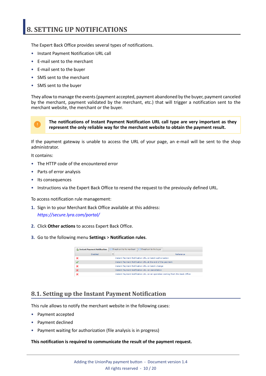## <span id="page-9-0"></span>**8. SETTING UP NOTIFICATIONS**

The Expert Back Office provides several types of notifications.

- Instant Payment Notification URL call
- E-mail sent to the merchant
- E-mail sent to the buyer
- SMS sent to the merchant
- SMS sent to the buyer

They allow to manage the events(payment accepted, payment abandoned by the buyer, payment canceled by the merchant, payment validated by the merchant, etc.) that will trigger a notification sent to the merchant website, the merchant or the buyer.



**The notifications of Instant Payment Notification URL call type are very important as they represent the only reliable way for the merchant website to obtain the payment result.**

If the payment gateway is unable to access the URL of your page, an e-mail will be sent to the shop administrator.

It contains:

- The HTTP code of the encountered error
- Parts of error analysis
- Its consequences
- Instructions via the Expert Back Office to resend the request to the previously defined URL.

To access notification rule management:

- **1.** Sign in to your Merchant Back Office available at this address: *<https://secure.lyra.com/portal/>*
- **2.** Click **Other actions** to access Expert Back Office.
- **3.** Go to the following menu **Settings** > **Notification rules**.

| Instant Payment Notification | E-mail sent to the merchant<br>E-mail sent to the buyer                      |  |
|------------------------------|------------------------------------------------------------------------------|--|
| Enabled                      | Reference                                                                    |  |
|                              | Instant Payment Notification URL on batch authorization                      |  |
|                              | Instant Payment Notification URL at the end of the payment                   |  |
|                              | Instant Payment Notification URL on batch change                             |  |
|                              | <b>Instant Payment Notification URL on cancellation</b>                      |  |
|                              | Instant Payment Notification URL on an operation coming from the Back Office |  |

### <span id="page-9-1"></span>**8.1. Setting up the Instant Payment Notification**

This rule allows to notify the merchant website in the following cases:

- Payment accepted
- Payment declined
- Payment waiting for authorization (file analysis is in progress)

#### **This notification is required to communicate the result of the payment request.**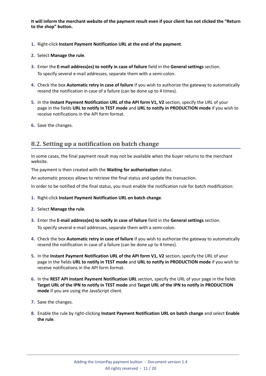It will inform the merchant website of the payment result even if your client has not clicked the "Return **to the shop" button.**

- **1.** Right-click **Instant Payment Notification URL at the end of the payment**.
- **2.** Select **Manage the rule**.
- **3.** Enter the **E-mail address(es) to notify in case of failure** field in the **General settings** section. To specify several e-mail addresses, separate them with a semi-colon.
- **4.** Check the box **Automatic retry in case of failure** if you wish to authorize the gateway to automatically resend the notification in case of a failure (can be done up to 4 times).
- **5.** In the **Instant Payment Notification URL of the API form V1, V2** section, specify the URL of your page in the fields **URL to notify in TEST mode** and **URL to notify in PRODUCTION mode** if you wish to receive notifications in the API form format.
- **6.** Save the changes.

### <span id="page-10-0"></span>**8.2. Setting up a notification on batch change**

In some cases, the final payment result may not be available when the buyer returns to the merchant website.

The payment is then created with the **Waiting for authorization** status.

An automatic process allows to retrieve the final status and update the transaction.

In order to be notified of the final status, you must enable the notification rule for batch modification:

- **1.** Right-click **Instant Payment Notification URL on batch change**.
- **2.** Select **Manage the rule**.
- **3.** Enter the **E-mail address(es) to notify in case of failure** field in the **General settings** section. To specify several e-mail addresses, separate them with a semi-colon.
- **4.** Check the box **Automatic retry in case of failure** if you wish to authorize the gateway to automatically resend the notification in case of a failure (can be done up to 4 times).
- **5.** In the **Instant Payment Notification URL of the API form V1, V2** section, specify the URL of your page in the fields **URL to notify in TEST mode** and **URL to notify in PRODUCTION mode** if you wish to receive notifications in the API form format.
- **6.** In the **REST API Instant Payment Notification URL** section, specify the URL of your page in the fields Target URL of the IPN to notify in TEST mode and Target URL of the IPN to notify in PRODUCTION **mode** if you are using the JavaScript client.
- **7.** Save the changes.
- **8.** Enable the rule by right-clicking **Instant Payment Notification URL on batch change** and select **Enable the rule**.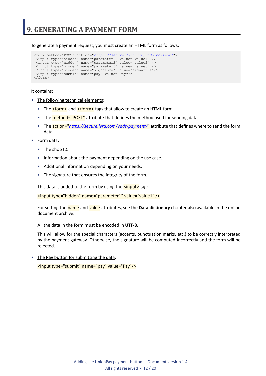<span id="page-11-0"></span>To generate a payment request, you must create an HTML form as follows:

```
<form method="POST" action="https://secure.lyra.com/vads-payment/">
 <input type="hidden" name="parameter1" value="value1" />
 <input type="hidden" name="parameter2" value="value2" />
 <input type="hidden" name="parameter3" value="value3" />
 <input type="hidden" name="signature" value="signature"/>
 <input type="submit" name="pay" value="Pay"/>
\langle/form\rangle
```
It contains:

- The following technical elements:
	- The  $\leq$  form> and  $\leq$ /form> tags that allow to create an HTML form.
	- The **method="POST"** attribute that defines the method used for sending data.
	- The action="*<https://secure.lyra.com/vads-payment/>*" attribute that defines where to send the form data.
- Form data:
	- The shop ID.
	- Information about the payment depending on the use case.
	- Additional information depending on your needs.
	- The signature that ensures the integrity of the form.

This data is added to the form by using the  $\langle$ input> tag:

<input type="hidden" name="parameter1" value="value1" />

For setting the name and value attributes, see the **Data dictionary** chapter also available in the online document archive.

All the data in the form must be encoded in **UTF-8.**

This will allow for the special characters (accents, punctuation marks, etc.) to be correctly interpreted by the payment gateway. Otherwise, the signature will be computed incorrectly and the form will be rejected.

• The **Pay** button for submitting the data: <input type="submit" name="pay" value="Pay"/>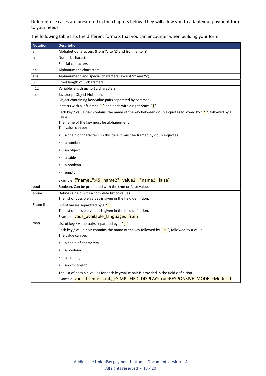Different use cases are presented in the chapters below. They will allow you to adapt your payment form to your needs.

| <b>Notation</b> | <b>Description</b>                                                                                                                                                                                                                                                                       |
|-----------------|------------------------------------------------------------------------------------------------------------------------------------------------------------------------------------------------------------------------------------------------------------------------------------------|
| a               | Alphabetic characters (from 'A' to 'Z' and from 'a' to 'z')                                                                                                                                                                                                                              |
| n               | Numeric characters                                                                                                                                                                                                                                                                       |
| S               | Special characters                                                                                                                                                                                                                                                                       |
| an              | Alphanumeric characters                                                                                                                                                                                                                                                                  |
| ans             | Alphanumeric and special characters (except '<' and '>')                                                                                                                                                                                                                                 |
| 3               | Fixed length of 3 characters                                                                                                                                                                                                                                                             |
| .12             | Variable length up to 12 characters                                                                                                                                                                                                                                                      |
| json            | JavaScript Object Notation.<br>Object containing key/value pairs separated by commas.<br>It starts with a left brace " $\{$ " and ends with a right brace " $\}$ ".<br>Each key / value pair contains the name of the key between double-quotes followed by "i", followed by a<br>value. |
|                 | The name of the key must be alphanumeric.<br>The value can be:                                                                                                                                                                                                                           |
|                 | a chain of characters (in this case it must be framed by double-quotes)<br>۰                                                                                                                                                                                                             |
|                 | a number<br>$\bullet$                                                                                                                                                                                                                                                                    |
|                 | an object<br>٠                                                                                                                                                                                                                                                                           |
|                 | a table<br>۰                                                                                                                                                                                                                                                                             |
|                 | a boolean                                                                                                                                                                                                                                                                                |
|                 | empty<br>۰                                                                                                                                                                                                                                                                               |
|                 | Example: {"name1":45,"name2":"value2", "name3":false}                                                                                                                                                                                                                                    |
| bool            | Boolean. Can be populated with the true or false value.                                                                                                                                                                                                                                  |
| enum            | Defines a field with a complete list of values.<br>The list of possible values is given in the field definition.                                                                                                                                                                         |
| Enum list       | List of values separated by a " $\cdot$ ".<br>The list of possible values is given in the field definition.<br>Example: vads_available_languages=fr;en                                                                                                                                   |
| map             | List of key / value pairs separated by a $"\div"$ .                                                                                                                                                                                                                                      |
|                 | Each key / value pair contains the name of the key followed by " $=$ ", followed by a value.<br>The value can be:                                                                                                                                                                        |
|                 | a chain of characters                                                                                                                                                                                                                                                                    |
|                 | a boolean                                                                                                                                                                                                                                                                                |
|                 | a json object<br>۰                                                                                                                                                                                                                                                                       |
|                 | an xml object<br>۰                                                                                                                                                                                                                                                                       |
|                 | The list of possible values for each key/value pair is provided in the field definition.<br>Example: vads_theme_config=SIMPLIFIED_DISPLAY=true;RESPONSIVE_MODEL=Model_1                                                                                                                  |

The following table lists the different formats that you can encounter when building your form.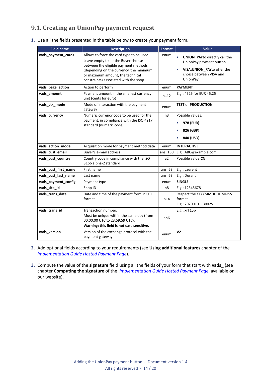## <span id="page-13-0"></span>**9.1. Creating an UnionPay payment request**

| 1. Use all the fields presented in the table below to create your payment form. |  |  |  |
|---------------------------------------------------------------------------------|--|--|--|
|                                                                                 |  |  |  |

| <b>Field name</b>    | <b>Description</b>                                                                                                                                                                                                                                | <b>Format</b>  | <b>Value</b>                                                                                                                             |  |
|----------------------|---------------------------------------------------------------------------------------------------------------------------------------------------------------------------------------------------------------------------------------------------|----------------|------------------------------------------------------------------------------------------------------------------------------------------|--|
| vads_payment_cards   | Allows to force the card type to be used.<br>Leave empty to let the Buyer choose<br>between the eligible payment methods<br>(depending on the currency, the minimum<br>or maximum amount, the technical<br>constraints) associated with the shop. | enum           | <b>UNION_PAYto directly call the</b><br>UnionPay payment button.<br>VISA; UNION_PAY to offer the<br>choice between VISA and<br>UnionPay. |  |
| vads_page_action     | Action to perform                                                                                                                                                                                                                                 | enum           | <b>PAYMENT</b>                                                                                                                           |  |
| vads_amount          | Payment amount in the smallest currency<br>unit (cents for euro)                                                                                                                                                                                  | n.12           | E.g.: 4525 for EUR 45.25                                                                                                                 |  |
| vads_ctx_mode        | Mode of interaction with the payment<br>gateway                                                                                                                                                                                                   | enum           | <b>TEST or PRODUCTION</b>                                                                                                                |  |
| vads_currency        | Numeric currency code to be used for the<br>payment, in compliance with the ISO 4217<br>standard (numeric code).                                                                                                                                  | n <sub>3</sub> | Possible values:<br>978 (EUR)<br>$\bullet$<br>826 (GBP)<br>840 (USD)                                                                     |  |
| vads_action_mode     | Acquisition mode for payment method data                                                                                                                                                                                                          | enum           | <b>INTERACTIVE</b>                                                                                                                       |  |
| vads_cust_email      | Buyer's e-mail address                                                                                                                                                                                                                            | ans150         | E.g.: ABC@example.com                                                                                                                    |  |
| vads_cust_country    | Country code in compliance with the ISO<br>3166 alpha-2 standard                                                                                                                                                                                  | a2             | Possible value: CN                                                                                                                       |  |
| vads_cust_first_name | First name                                                                                                                                                                                                                                        | ans.63         | E.g.: Laurent                                                                                                                            |  |
| vads_cust_last_name  | Last name                                                                                                                                                                                                                                         | ans.63         | E.g.: Durant                                                                                                                             |  |
| vads_payment_config  | Payment type                                                                                                                                                                                                                                      | enum           | <b>SINGLE</b>                                                                                                                            |  |
| vads_site_id         | Shop ID                                                                                                                                                                                                                                           | n8             | E.g.: 12345678                                                                                                                           |  |
| vads_trans_date      | Date and time of the payment form in UTC<br>format                                                                                                                                                                                                | n14            | Respect the YYYYMMDDHHMMSS<br>format<br>E.g.: 20200101130025                                                                             |  |
| vads_trans_id        | Transaction number.<br>Must be unique within the same day (from<br>00:00:00 UTC to 23:59:59 UTC).<br>Warning: this field is not case sensitive.                                                                                                   | an6            | $E.g.:$ xr $T15p$                                                                                                                        |  |
| vads version         | Version of the exchange protocol with the<br>payment gateway                                                                                                                                                                                      | enum           | V <sub>2</sub>                                                                                                                           |  |

- **2.** Add optional fields according to your requirements (see **Using additional features** chapter of the *[Implementation](https://docs.lyra.com/en/collect/form-payment/standard-payment/sitemap.html) Guide Hosted Payment Page*).
- **3.** Compute the value of the **signature** field using all the fields of your form that start with **vads\_** (see chapter **Computing the signature** of the *[Implementation](https://docs.lyra.com/en/collect/form-payment/standard-payment/sitemap.html) Guide Hosted Payment Page* available on our website).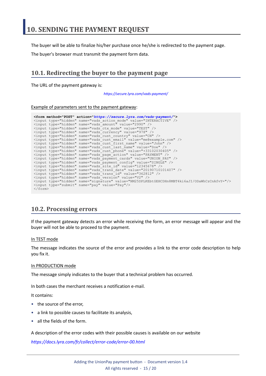<span id="page-14-0"></span>The buyer will be able to finalize his/her purchase once he/she is redirected to the payment page.

The buyer's browser must transmit the payment form data.

## <span id="page-14-1"></span>**10.1. Redirecting the buyer to the payment page**

The URL of the payment gateway is:

*<https://secure.lyra.com/vads-payment/>*

#### Example of parameters sent to the payment gateway:

|                           | <form action="https://secure.lyra.com/vads-payment/" method="POST"></form>                   |
|---------------------------|----------------------------------------------------------------------------------------------|
|                           | <input name="vads action mode" type="hidden" value="INTERACTIVE"/>                           |
|                           | <input name="vads amount" type="hidden" value="2990"/>                                       |
|                           | <input name="vads ctx mode" type="hidden" value="TEST"/>                                     |
|                           | <input name="vads currency" type="hidden" value="978"/>                                      |
|                           | <input name="vads cust country" type="hidden" value="CN"/>                                   |
|                           | <input name="vads cust email" type="hidden" value="me@example.com"/>                         |
|                           | <input name="vads cust first name" type="hidden" value="John"/>                              |
|                           | <input name="vads cust last name" type="hidden" value="Doe"/>                                |
|                           | <input name="vads cust phone" type="hidden" value="+33102030405"/>                           |
|                           | <input name="vads page action" type="hidden" value="PAYMENT"/>                               |
|                           | <input name="vads payment cards" type="hidden" value="UNION PAY"/>                           |
|                           | <input name="vads payment confiq" type="hidden" value="SINGLE"/>                             |
|                           | <input name="vads site id" type="hidden" value="12345678"/>                                  |
|                           | <input name="vads trans date" type="hidden" value="20190710101407"/>                         |
|                           | <input name="vads trans id" type="hidden" value="362812"/>                                   |
|                           | <input name="vads version" type="hidden" value="V2"/>                                        |
|                           | <input name="signature" type="hidden" value="NM25DPLKEbtGEHCDHn8MBT4ki6aJI/ODaWhCzCnAfvY="/> |
|                           | <input name="pay" type="submit" value="Pay"/>                                                |
| $\langle$ /form $\rangle$ |                                                                                              |

### <span id="page-14-2"></span>**10.2. Processing errors**

If the payment gateway detects an error while receiving the form, an error message will appear and the buyer will not be able to proceed to the payment.

#### In TEST mode

The message indicates the source of the error and provides a link to the error code description to help you fix it.

#### In PRODUCTION mode

The message simply indicates to the buyer that a technical problem has occurred.

In both cases the merchant receives a notification e-mail.

It contains:

- the source of the error,
- a link to possible causes to facilitate its analysis,
- all the fields of the form.

A description of the error codes with their possible causes is available on our website

*<https://docs.lyra.com/fr/collect/error-code/error-00.html>*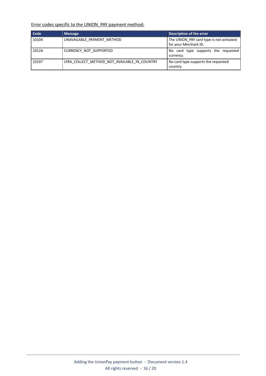Error codes specific to the UNION\_PAY payment method:

| Code  | <b>Message</b>                               | Description of the error                                          |
|-------|----------------------------------------------|-------------------------------------------------------------------|
| 10104 | UNAVAILABLE PAYMENT METHOD                   | The UNION_PAY card type is not activated<br>for your Merchant ID. |
| 10124 | CURRENCY NOT SUPPORTED                       | No card type supports the requested<br>currency.                  |
| 10197 | LYRA COLLECT METHOD NOT AVAILABLE IN COUNTRY | No card type supports the requested<br>country.                   |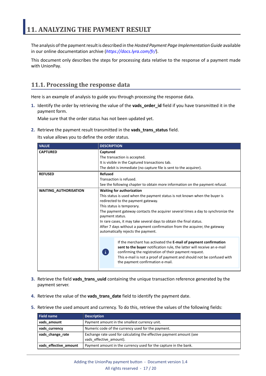<span id="page-16-0"></span>The analysis of the payment result is described in the *Hosted Payment Page Implementation Guide* available in our online documentation archive (*<https://docs.lyra.com/fr/>*).

This document only describes the steps for processing data relative to the response of a payment made with UnionPay.

## <span id="page-16-1"></span>**11.1. Processing the response data**

Here is an example of analysis to guide you through processing the response data.

**1.** Identify the order by retrieving the value of the **vads\_order\_id** field if you have transmitted it in the payment form.

Make sure that the order status has not been updated yet.

**2.** Retrieve the payment result transmitted in the **vads\_trans\_status** field.

Its value allows you to define the order status.

| <b>VALUE</b>                 | <b>DESCRIPTION</b>                                                                                                                                                                                                                                                                                                                                                                                                                                                                  |                                                                                                                                                                                                                                                                                                                  |
|------------------------------|-------------------------------------------------------------------------------------------------------------------------------------------------------------------------------------------------------------------------------------------------------------------------------------------------------------------------------------------------------------------------------------------------------------------------------------------------------------------------------------|------------------------------------------------------------------------------------------------------------------------------------------------------------------------------------------------------------------------------------------------------------------------------------------------------------------|
| <b>CAPTURED</b>              | Captured<br>The transaction is accepted.<br>It is visible in the Captured transactions tab.<br>The debit is immediate (no capture file is sent to the acquirer).                                                                                                                                                                                                                                                                                                                    |                                                                                                                                                                                                                                                                                                                  |
| <b>REFUSED</b>               | <b>Refused</b><br>Transaction is refused.<br>See the following chapter to obtain more information on the payment refusal.                                                                                                                                                                                                                                                                                                                                                           |                                                                                                                                                                                                                                                                                                                  |
| <b>WAITING_AUTHORISATION</b> | <b>Waiting for authorization</b><br>This status is used when the payment status is not known when the buyer is<br>redirected to the payment gateway.<br>This status is temporary.<br>The payment gateway contacts the acquirer several times a day to synchronize the<br>payment status.<br>In rare cases, it may take several days to obtain the final status.<br>After 7 days without a payment confirmation from the acquirer, the gateway<br>automatically rejects the payment. |                                                                                                                                                                                                                                                                                                                  |
|                              | $\mathbf{i}$                                                                                                                                                                                                                                                                                                                                                                                                                                                                        | If the merchant has activated the E-mail of payment confirmation<br>sent to the buyer notification rule, the latter will receive an e-mail<br>confirming the registration of their payment request.<br>This e-mail is not a proof of payment and should not be confused with<br>the payment confirmation e-mail. |

- **3.** Retrieve the field **vads\_trans\_uuid** containing the unique transaction reference generated by the payment server.
- **4.** Retrieve the value of the **vads\_trans\_date** field to identify the payment date.
- **5.** Retrieve the used amount and currency. To do this, retrieve the values of the following fields:

| <b>Field name</b>     | <b>Description</b>                                                                              |
|-----------------------|-------------------------------------------------------------------------------------------------|
| vads amount           | Payment amount in the smallest currency unit.                                                   |
| vads_currency         | Numeric code of the currency used for the payment.                                              |
| vads_change_rate      | Exchange rate used for calculating the effective payment amount (see<br>vads effective amount). |
| vads effective amount | Payment amount in the currency used for the capture in the bank.                                |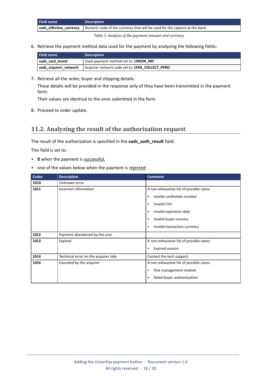| <b>Field name</b> | <b>Description</b>                                                                                    |
|-------------------|-------------------------------------------------------------------------------------------------------|
|                   | vads_effective_currency   Numeric code of the currency that will be used for the capture at the bank. |

*Table 1: Analysis of the payment amount and currency*

**6.** Retrieve the payment method data used for the payment by analyzing the following fields:

| Field name            | <b>Description</b>                              |
|-----------------------|-------------------------------------------------|
| vads card brand       | Used payment method set to: UNION PAY           |
| vads acquirer network | Acquirer network code set to: LYRA COLLECT PPRO |

**7.** Retrieve all the order, buyer and shipping details.

These details will be provided in the response only of they have been transmitted in the payment form.

Their values are identical to the ones submitted in the form.

**8.** Proceed to order update.

## <span id="page-17-0"></span>**11.2. Analyzing the result of the authorization request**

The result of the authorization is specified in the **vads\_auth\_result** field.

This field is set to:

- **0** when the payment is successful,
- one of the values below when the payment is rejected:

| <b>Codes</b> | <b>Description</b>                   | <b>Comment</b>                            |
|--------------|--------------------------------------|-------------------------------------------|
| 1010         | Unknown error                        |                                           |
| 1011         | Incorrect information                | A non-exhaustive list of possible cases:  |
|              |                                      | Invalid cardholder number<br>$\bullet$    |
|              |                                      | Invalid CVV<br>۰                          |
|              |                                      | Invalid expiration date<br>٠              |
|              |                                      | Invalid buyer country<br>٠                |
|              |                                      | Invalid transaction currency<br>$\bullet$ |
| 1012         | Payment abandoned by the user        |                                           |
| 1013         | Expired                              | A non-exhaustive list of possible cases:  |
|              |                                      | <b>Expired session</b><br>$\bullet$       |
| 1014         | Technical error on the acquirer side | Contact the tech support.                 |
| 1016         | Canceled by the acquirer             | A non-exhaustive list of possible cases:  |
|              |                                      | Risk management module<br>$\bullet$       |
|              |                                      | failed buyer authentication               |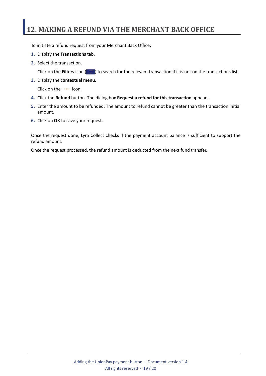# <span id="page-18-0"></span>**12. MAKING A REFUND VIA THE MERCHANT BACK OFFICE**

To initiate a refund request from your Merchant Back Office:

- **1.** Display the **Transactions** tab.
- **2.** Select the transaction.

Click on the **Filters** icon ( $\equiv$ ) to search for the relevant transaction if it is not on the transactions list.

**3.** Display the **contextual menu**.

Click on the **...** icon.

- **4.** Click the **Refund** button. The dialog box **Request a refund for this transaction** appears.
- **5.** Enter the amount to be refunded. The amount to refund cannot be greater than the transaction initial amount.
- **6.** Click on **OK** to save your request.

Once the request done, Lyra Collect checks if the payment account balance is sufficient to support the refund amount.

Once the request processed, the refund amount is deducted from the next fund transfer.